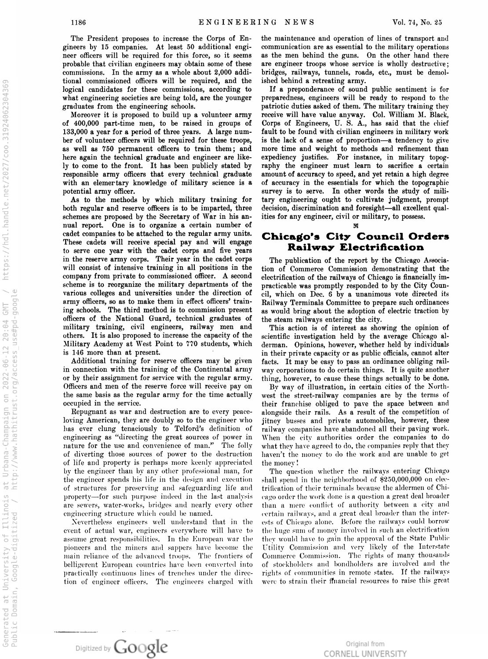The President proposes to increase the Corps of En gineers by <sup>15</sup> companies. At least 50 additional engi neer officers will be required for this force, so it seems probable that civilian engineers may obtain some of these commissions. In the army as <sup>a</sup> whole about 2,000 addi tional commissioned officers will be required, and the logical candidates for these commissions, according to what engineering societies are being told, are the younger graduates from the engineering schools.

Moreover it is proposed to build up <sup>a</sup> volunteer army of 400,000 part-time men, to be raised in groups of 133,000 <sup>a</sup> year for <sup>a</sup> period of three years. A large num ber of volunteer officers will be required for these troops, as well as 750 permanent officers to train them; and here again the technical graduate and engineer are like ly to come to the front. It has been publicly stated by responsible army officers that every technical graduate with an elemertary knowledge of military science is a potential army officer.

As to the methods by which military training for both regular and reserve officers is to be imparted, three schemes are proposed by the Secretary of War in his an nual report. One is to organize a certain number of cadet companies to be attached to the regular army units. These cadets will receive special pay and will engage to serve one year with the cadet corps and five years in the reserve army corps. Their year in the cadet corps will consist of intensive training in all positions in the company from private to commissioned officer. A second scheme is to reorganize the military departments of the various colleges and universities under the direction of army officers, so as to make them in effect officers' train ing schools. The third method is to commission present officers of the National Guard, technical graduates of military training, civil engineers, railway men and others. It is also proposed to increase the capacity of the Military Academy at West Point to 770 students, which is 146 more than at present.

Additional training for reserve officers may be given in connection with the training of the Continental army or by their assignment for service with the regular army. Officers and men of the reserve force will receive pay on the same basis as the regular army for the time actually occupied in the service.

Repugnant as war and destruction are to every peaceloving American, they are doubly so to the engineer who has ever clung tenaciously to Telford's definition of engineering as "directing the great sources of power in nature for the use and convenience of man." The folly of diverting those sources of power to the destruction of life and property is perhaps more keenly appreciated by the engineer than by any other professional man, for the engineer spends his life in the design and execution of structures for preserving and safeguarding life and property —for such purpose indeed in the last analysis are sewers, water-works, bridges and nearly every other engineering structure which could be named.

Nevertheless engineers well understand that in the event of actual war, engineers everywhere will have to assume great responsibilities. In the European war the pioneers and the miners and sappers have become the main reliance of the advanced troops. The frontiers of belligerent European countries have been converted into practically continuous lines of trenches under the direc tion of engineer officers. The engineers charged with the maintenance and operation of lines of transport and communication are as essential to the military operations as the men behind the guns. On the other hand there are engineer troops whose service is wholly destructive; bridges, railways, tunnels, roads, etc., must be demol ished behind a retreating army.

If <sup>a</sup> preponderance of sound public sentiment is for preparedness, engineers will be ready to respond to the patriotic duties asked of them. The military training they receive will have value anyway. Col. William M. Black, Corps of Engineers, U. S. A., has said that the chief fault to be found with civilian engineers in military work is the lack of a sense of proportion-a tendency to give more time and weight to methods and refinement than expediency justifies. For instance, in military topog raphy the engineer must learn to sacrifice <sup>a</sup> certain amount of accuracy to speed, and yet retain a high degree of accuracy in the essentials for which the topographic survey is to serve. In other words the study of mili tary engineering ought to cultivate judgment, prompt decision, discrimination and foresight—all excellent qualities for any engineer, civil or military, to possess.

# Chicago's City Council Orders **Railway Electrification**

 $\boldsymbol{x}$ 

The publication of the report by the Chicago Associa tion of Commerce Commission demonstrating that the electrification of the railways of Chicago is financially im practicable was promptly responded to by the City Coun cil, which on Dec. <sup>6</sup> by <sup>a</sup> unanimous vote directed its Railway Terminals Committee to prepare such ordinances as would bring about the adoption of electric traction by the steam railways entering the city.

This action is of interest as showing the opinion of scientific investigation held by the average Chicago al derman. Opinions, however, whether held by individuals in their private capacity or as public officials, cannot alter facts. It may be easy to pass an ordinance obliging rail way corporations to do certain things. It is quite another thing, however, to cause these things actually to be done.

By way of illustration, in certain cities of the North west the street-railway companies are by the terms of their franchise obliged to pave the space between and alongside their rails. As a result of the competition of jitney busses and private automobiles, however, these railway companies have abandoned all their paving work. When the city authorities order the companies to do what they have agreed to do, the companies reply that they haven't the money to do the work and are unable to get the money !

The question whether the railways entering Chicago shall spend in the neighborhood of \$250,000,000 on elec trification of their terminals because the aldermen of Chi cago order the work done is <sup>a</sup> question <sup>a</sup> great deal broader than <sup>a</sup> mere conflict of authority between <sup>a</sup> city and certain railways, and <sup>a</sup> great deal broader than the inter ests of Chicago alone. Before the railways could borrow the huge sum of money involved in such an electrification they would have to gain the approval of the State Public Utility Commission and very likely of the Interstate Commerce Commission. The rights of many thousands of stockholders and bondholders are involved and the rights of communities in remote states. If the railways were to strain their financial resources to raise this great

Digitized by Google

Original from CORNELL UNIVERSITY